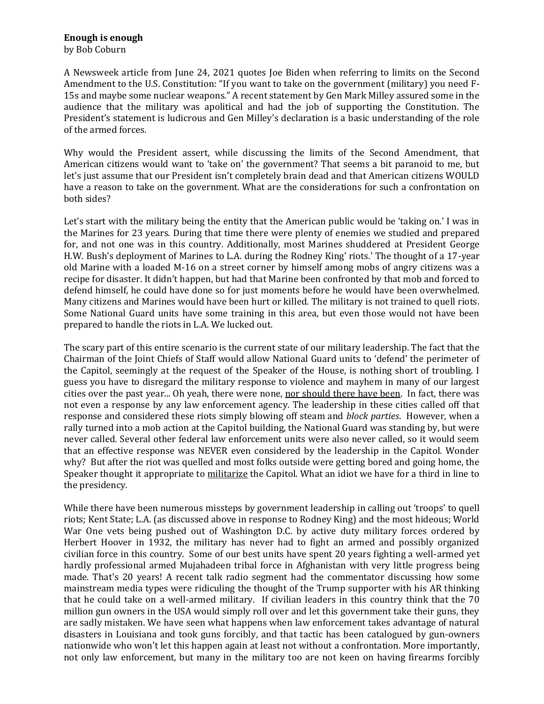## **Enough is enough**

by Bob Coburn

A Newsweek article from June 24, 2021 quotes Joe Biden when referring to limits on the Second Amendment to the U.S. Constitution: "If you want to take on the government (military) you need F-15s and maybe some nuclear weapons." A recent statement by Gen Mark Milley assured some in the audience that the military was apolitical and had the job of supporting the Constitution. The President's statement is ludicrous and Gen Milley's declaration is a basic understanding of the role of the armed forces.

Why would the President assert, while discussing the limits of the Second Amendment, that American citizens would want to 'take on' the government? That seems a bit paranoid to me, but let's just assume that our President isn't completely brain dead and that American citizens WOULD have a reason to take on the government. What are the considerations for such a confrontation on both sides?

Let's start with the military being the entity that the American public would be 'taking on.' I was in the Marines for 23 years. During that time there were plenty of enemies we studied and prepared for, and not one was in this country. Additionally, most Marines shuddered at President George H.W. Bush's deployment of Marines to L.A. during the Rodney King' riots.' The thought of a 17-year old Marine with a loaded M-16 on a street corner by himself among mobs of angry citizens was a recipe for disaster. It didn't happen, but had that Marine been confronted by that mob and forced to defend himself, he could have done so for just moments before he would have been overwhelmed. Many citizens and Marines would have been hurt or killed. The military is not trained to quell riots. Some National Guard units have some training in this area, but even those would not have been prepared to handle the riots in L.A. We lucked out.

The scary part of this entire scenario is the current state of our military leadership. The fact that the Chairman of the Joint Chiefs of Staff would allow National Guard units to 'defend' the perimeter of the Capitol, seemingly at the request of the Speaker of the House, is nothing short of troubling. I guess you have to disregard the military response to violence and mayhem in many of our largest cities over the past year... Oh yeah, there were none, nor should there have been. In fact, there was not even a response by any law enforcement agency. The leadership in these cities called off that response and considered these riots simply blowing off steam and *block parties*. However, when a rally turned into a mob action at the Capitol building, the National Guard was standing by, but were never called. Several other federal law enforcement units were also never called, so it would seem that an effective response was NEVER even considered by the leadership in the Capitol. Wonder why? But after the riot was quelled and most folks outside were getting bored and going home, the Speaker thought it appropriate to militarize the Capitol. What an idiot we have for a third in line to the presidency.

While there have been numerous missteps by government leadership in calling out 'troops' to quell riots; Kent State; L.A. (as discussed above in response to Rodney King) and the most hideous; World War One vets being pushed out of Washington D.C. by active duty military forces ordered by Herbert Hoover in 1932, the military has never had to fight an armed and possibly organized civilian force in this country. Some of our best units have spent 20 years fighting a well-armed yet hardly professional armed Mujahadeen tribal force in Afghanistan with very little progress being made. That's 20 years! A recent talk radio segment had the commentator discussing how some mainstream media types were ridiculing the thought of the Trump supporter with his AR thinking that he could take on a well-armed military. If civilian leaders in this country think that the 70 million gun owners in the USA would simply roll over and let this government take their guns, they are sadly mistaken. We have seen what happens when law enforcement takes advantage of natural disasters in Louisiana and took guns forcibly, and that tactic has been catalogued by gun-owners nationwide who won't let this happen again at least not without a confrontation. More importantly, not only law enforcement, but many in the military too are not keen on having firearms forcibly